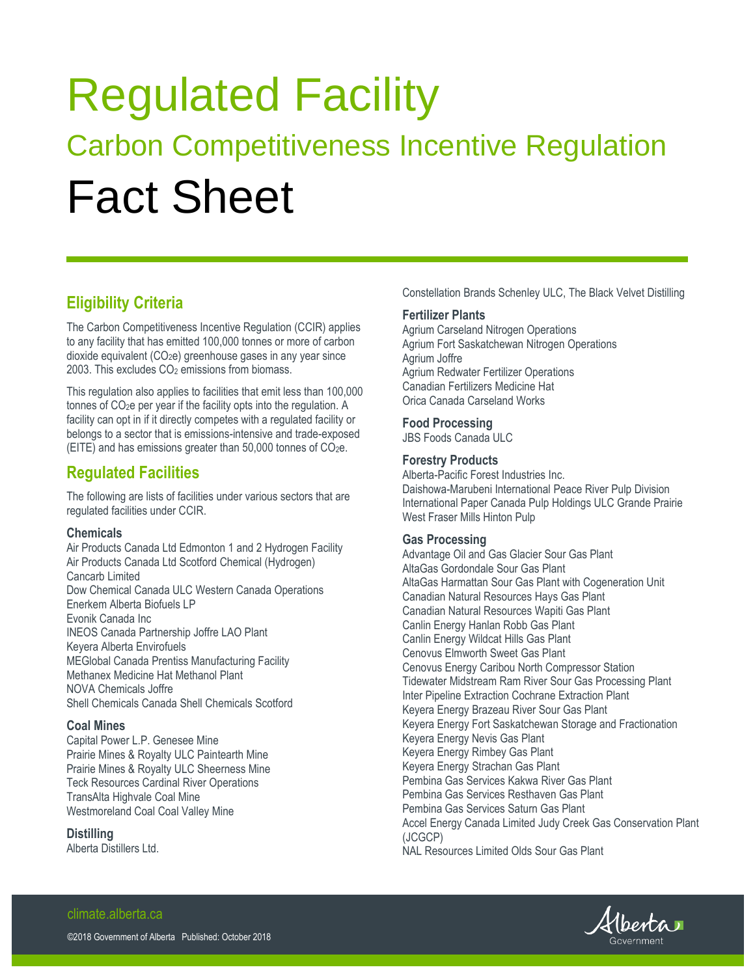# Regulated Facility Carbon Competitiveness Incentive Regulation Fact Sheet

## **Eligibility Criteria**

The Carbon Competitiveness Incentive Regulation (CCIR) applies to any facility that has emitted 100,000 tonnes or more of carbon dioxide equivalent (CO2e) greenhouse gases in any year since 2003. This excludes CO<sub>2</sub> emissions from biomass.

This regulation also applies to facilities that emit less than 100,000 tonnes of CO2e per year if the facility opts into the regulation. A facility can opt in if it directly competes with a regulated facility or belongs to a sector that is emissions-intensive and trade-exposed (EITE) and has emissions greater than 50,000 tonnes of CO2e.

### **Regulated Facilities**

The following are lists of facilities under various sectors that are regulated facilities under CCIR.

#### **Chemicals**

Air Products Canada Ltd Edmonton 1 and 2 Hydrogen Facility Air Products Canada Ltd Scotford Chemical (Hydrogen) Cancarb Limited Dow Chemical Canada ULC Western Canada Operations Enerkem Alberta Biofuels LP Evonik Canada Inc INEOS Canada Partnership Joffre LAO Plant Keyera Alberta Envirofuels MEGlobal Canada Prentiss Manufacturing Facility Methanex Medicine Hat Methanol Plant NOVA Chemicals Joffre Shell Chemicals Canada Shell Chemicals Scotford

#### **Coal Mines**

Capital Power L.P. Genesee Mine Prairie Mines & Royalty ULC Paintearth Mine Prairie Mines & Royalty ULC Sheerness Mine Teck Resources Cardinal River Operations TransAlta Highvale Coal Mine Westmoreland Coal Coal Valley Mine

#### **Distilling**

Alberta Distillers Ltd.

Constellation Brands Schenley ULC, The Black Velvet Distilling

#### **Fertilizer Plants**

Agrium Carseland Nitrogen Operations Agrium Fort Saskatchewan Nitrogen Operations Agrium Joffre Agrium Redwater Fertilizer Operations Canadian Fertilizers Medicine Hat Orica Canada Carseland Works

#### **Food Processing**

JBS Foods Canada ULC

#### **Forestry Products**

Alberta-Pacific Forest Industries Inc. Daishowa-Marubeni International Peace River Pulp Division International Paper Canada Pulp Holdings ULC Grande Prairie West Fraser Mills Hinton Pulp

#### **Gas Processing**

Advantage Oil and Gas Glacier Sour Gas Plant AltaGas Gordondale Sour Gas Plant AltaGas Harmattan Sour Gas Plant with Cogeneration Unit Canadian Natural Resources Hays Gas Plant Canadian Natural Resources Wapiti Gas Plant Canlin Energy Hanlan Robb Gas Plant Canlin Energy Wildcat Hills Gas Plant Cenovus Elmworth Sweet Gas Plant Cenovus Energy Caribou North Compressor Station Tidewater Midstream Ram River Sour Gas Processing Plant Inter Pipeline Extraction Cochrane Extraction Plant Keyera Energy Brazeau River Sour Gas Plant Keyera Energy Fort Saskatchewan Storage and Fractionation Keyera Energy Nevis Gas Plant Keyera Energy Rimbey Gas Plant Keyera Energy Strachan Gas Plant Pembina Gas Services Kakwa River Gas Plant Pembina Gas Services Resthaven Gas Plant Pembina Gas Services Saturn Gas Plant Accel Energy Canada Limited Judy Creek Gas Conservation Plant (JCGCP) NAL Resources Limited Olds Sour Gas Plant



## climate.alberta.ca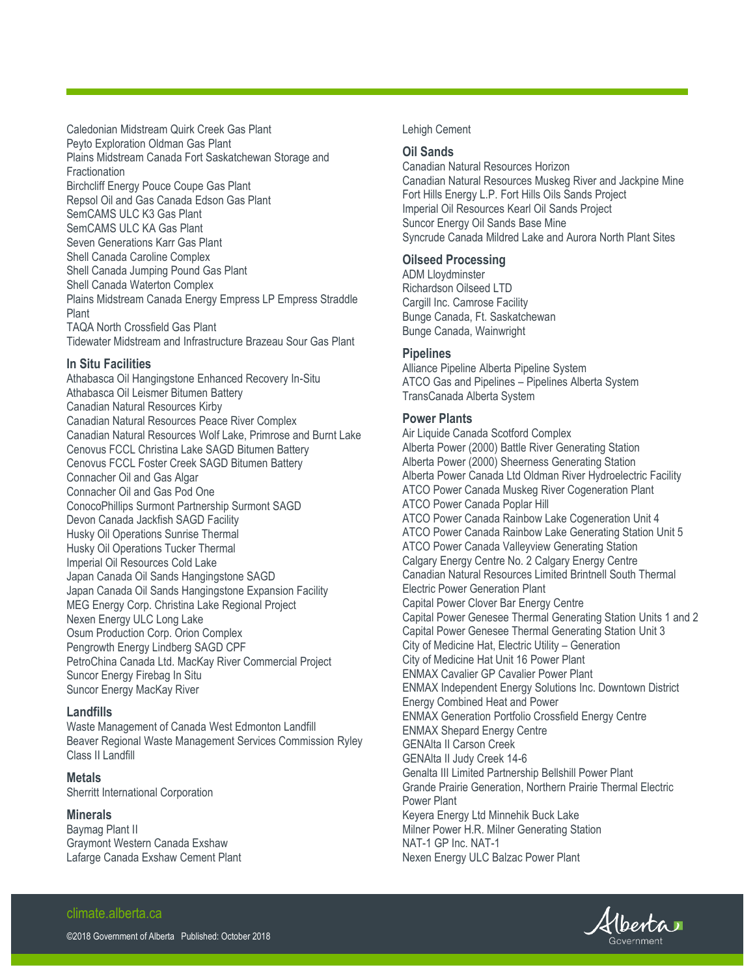Caledonian Midstream Quirk Creek Gas Plant Peyto Exploration Oldman Gas Plant Plains Midstream Canada Fort Saskatchewan Storage and **Fractionation** Birchcliff Energy Pouce Coupe Gas Plant Repsol Oil and Gas Canada Edson Gas Plant SemCAMS ULC K3 Gas Plant SemCAMS ULC KA Gas Plant Seven Generations Karr Gas Plant Shell Canada Caroline Complex Shell Canada Jumping Pound Gas Plant Shell Canada Waterton Complex Plains Midstream Canada Energy Empress LP Empress Straddle Plant TAQA North Crossfield Gas Plant Tidewater Midstream and Infrastructure Brazeau Sour Gas Plant

#### **In Situ Facilities**

Athabasca Oil Hangingstone Enhanced Recovery In-Situ Athabasca Oil Leismer Bitumen Battery Canadian Natural Resources Kirby Canadian Natural Resources Peace River Complex Canadian Natural Resources Wolf Lake, Primrose and Burnt Lake Cenovus FCCL Christina Lake SAGD Bitumen Battery Cenovus FCCL Foster Creek SAGD Bitumen Battery Connacher Oil and Gas Algar Connacher Oil and Gas Pod One ConocoPhillips Surmont Partnership Surmont SAGD Devon Canada Jackfish SAGD Facility Husky Oil Operations Sunrise Thermal Husky Oil Operations Tucker Thermal Imperial Oil Resources Cold Lake Japan Canada Oil Sands Hangingstone SAGD Japan Canada Oil Sands Hangingstone Expansion Facility MEG Energy Corp. Christina Lake Regional Project Nexen Energy ULC Long Lake Osum Production Corp. Orion Complex Pengrowth Energy Lindberg SAGD CPF PetroChina Canada Ltd. MacKay River Commercial Project Suncor Energy Firebag In Situ Suncor Energy MacKay River

#### **Landfills**

Waste Management of Canada West Edmonton Landfill Beaver Regional Waste Management Services Commission Ryley Class II Landfill

**Metals** Sherritt International Corporation

#### **Minerals**

Baymag Plant II Graymont Western Canada Exshaw Lafarge Canada Exshaw Cement Plant

#### Lehigh Cement

#### **Oil Sands**

Canadian Natural Resources Horizon Canadian Natural Resources Muskeg River and Jackpine Mine Fort Hills Energy L.P. Fort Hills Oils Sands Project Imperial Oil Resources Kearl Oil Sands Project Suncor Energy Oil Sands Base Mine Syncrude Canada Mildred Lake and Aurora North Plant Sites

#### **Oilseed Processing**

ADM Lloydminster Richardson Oilseed LTD Cargill Inc. Camrose Facility Bunge Canada, Ft. Saskatchewan Bunge Canada, Wainwright

#### **Pipelines**

Alliance Pipeline Alberta Pipeline System ATCO Gas and Pipelines – Pipelines Alberta System TransCanada Alberta System

#### **Power Plants**

Air Liquide Canada Scotford Complex Alberta Power (2000) Battle River Generating Station Alberta Power (2000) Sheerness Generating Station Alberta Power Canada Ltd Oldman River Hydroelectric Facility ATCO Power Canada Muskeg River Cogeneration Plant ATCO Power Canada Poplar Hill ATCO Power Canada Rainbow Lake Cogeneration Unit 4 ATCO Power Canada Rainbow Lake Generating Station Unit 5 ATCO Power Canada Valleyview Generating Station Calgary Energy Centre No. 2 Calgary Energy Centre Canadian Natural Resources Limited Brintnell South Thermal Electric Power Generation Plant Capital Power Clover Bar Energy Centre Capital Power Genesee Thermal Generating Station Units 1 and 2 Capital Power Genesee Thermal Generating Station Unit 3 City of Medicine Hat, Electric Utility – Generation City of Medicine Hat Unit 16 Power Plant ENMAX Cavalier GP Cavalier Power Plant ENMAX Independent Energy Solutions Inc. Downtown District Energy Combined Heat and Power ENMAX Generation Portfolio Crossfield Energy Centre ENMAX Shepard Energy Centre GENAlta II Carson Creek GENAlta II Judy Creek 14-6 Genalta III Limited Partnership Bellshill Power Plant Grande Prairie Generation, Northern Prairie Thermal Electric Power Plant Keyera Energy Ltd Minnehik Buck Lake Milner Power H.R. Milner Generating Station NAT-1 GP Inc. NAT-1 Nexen Energy ULC Balzac Power Plant

## Hberta

#### climate.alberta.ca

©2018 Government of Alberta Published: October 2018